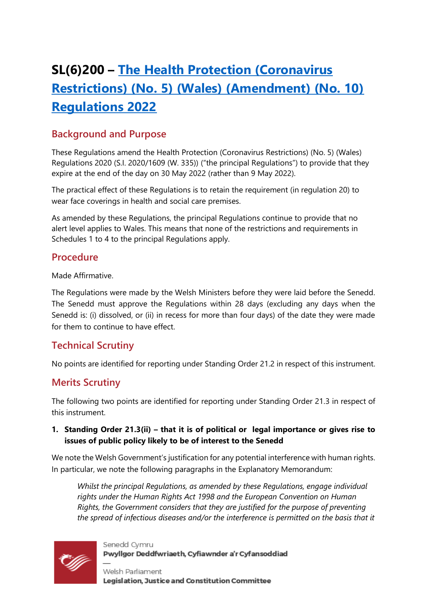# **SL(6)200 – [The Health Protection \(Coronavirus](https://business.senedd.wales/mgIssueHistoryHome.aspx?IId=39302)  [Restrictions\) \(No. 5\) \(Wales\) \(Amendment\) \(No. 10\)](https://business.senedd.wales/mgIssueHistoryHome.aspx?IId=39302)  [Regulations 2022](https://business.senedd.wales/mgIssueHistoryHome.aspx?IId=39302)**

## **Background and Purpose**

These Regulations amend the Health Protection (Coronavirus Restrictions) (No. 5) (Wales) Regulations 2020 (S.I. 2020/1609 (W. 335)) ("the principal Regulations") to provide that they expire at the end of the day on 30 May 2022 (rather than 9 May 2022).

The practical effect of these Regulations is to retain the requirement (in regulation 20) to wear face coverings in health and social care premises.

As amended by these Regulations, the principal Regulations continue to provide that no alert level applies to Wales. This means that none of the restrictions and requirements in Schedules 1 to 4 to the principal Regulations apply.

## **Procedure**

Made Affirmative.

The Regulations were made by the Welsh Ministers before they were laid before the Senedd. The Senedd must approve the Regulations within 28 days (excluding any days when the Senedd is: (i) dissolved, or (ii) in recess for more than four days) of the date they were made for them to continue to have effect.

# **Technical Scrutiny**

No points are identified for reporting under Standing Order 21.2 in respect of this instrument.

## **Merits Scrutiny**

The following two points are identified for reporting under Standing Order 21.3 in respect of this instrument.

#### **1. Standing Order 21.3(ii) – that it is of political or legal importance or gives rise to issues of public policy likely to be of interest to the Senedd**

We note the Welsh Government's justification for any potential interference with human rights. In particular, we note the following paragraphs in the Explanatory Memorandum:

*Whilst the principal Regulations, as amended by these Regulations, engage individual rights under the Human Rights Act 1998 and the European Convention on Human Rights, the Government considers that they are justified for the purpose of preventing the spread of infectious diseases and/or the interference is permitted on the basis that it* 



Senedd Cymru Pwyllgor Deddfwriaeth, Cyfiawnder a'r Cyfansoddiad

Welsh Parliament Legislation, Justice and Constitution Committee